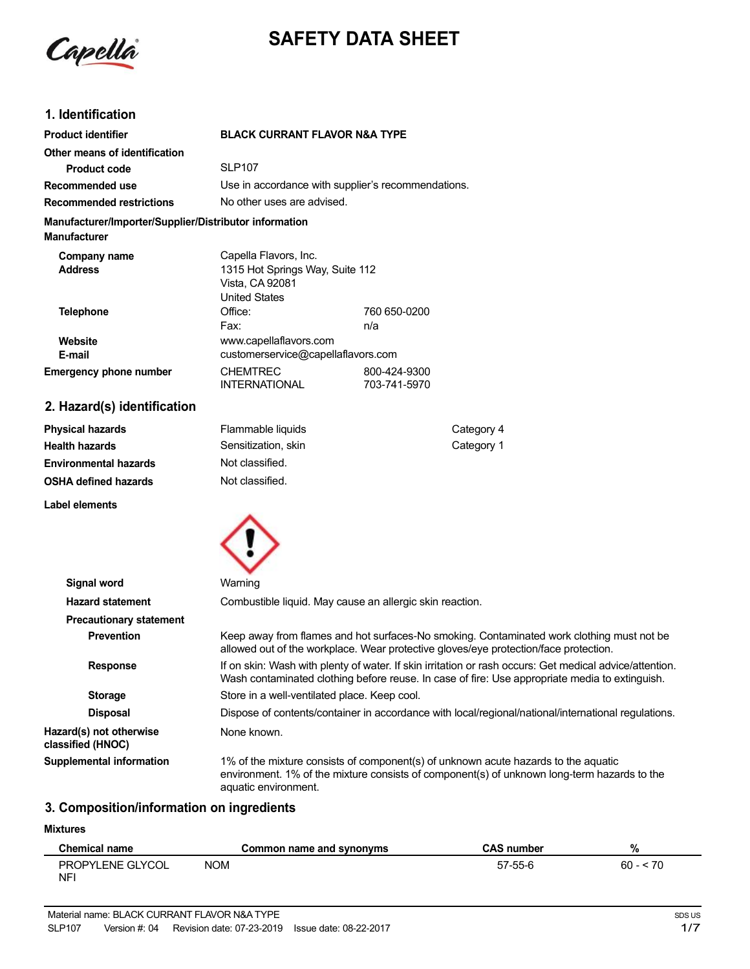

# **SAFETY DATA SHEET**

### **1. Identification**

| <b>Product identifier</b>                                                     | <b>BLACK CURRANT FLAVOR N&amp;A TYPE</b>                                                            |                              |
|-------------------------------------------------------------------------------|-----------------------------------------------------------------------------------------------------|------------------------------|
| Other means of identification                                                 |                                                                                                     |                              |
| <b>Product code</b>                                                           | <b>SLP107</b>                                                                                       |                              |
| Recommended use                                                               | Use in accordance with supplier's recommendations.                                                  |                              |
| <b>Recommended restrictions</b>                                               | No other uses are advised.                                                                          |                              |
| Manufacturer/Importer/Supplier/Distributor information<br><b>Manufacturer</b> |                                                                                                     |                              |
| Company name<br><b>Address</b>                                                | Capella Flavors, Inc.<br>1315 Hot Springs Way, Suite 112<br>Vista, CA 92081<br><b>United States</b> |                              |
| <b>Telephone</b>                                                              | Office:<br>Fax:                                                                                     | 760 650-0200<br>n/a          |
| Website<br>E-mail                                                             | www.capellaflavors.com<br>customerservice@capellaflavors.com                                        |                              |
| <b>Emergency phone number</b>                                                 | <b>CHEMTREC</b><br><b>INTERNATIONAL</b>                                                             | 800-424-9300<br>703-741-5970 |
| 2. Hazard(s) identification                                                   |                                                                                                     |                              |

#### **Physical hazards Health hazards Environmental hazards OSHA defined hazards** Flammable liquids Sensitization, skin Not classified. Not classified. Category 4 Category 1

**Label elements**



| Signal word                                  | Warning                                                                                                                                                                                                   |
|----------------------------------------------|-----------------------------------------------------------------------------------------------------------------------------------------------------------------------------------------------------------|
| <b>Hazard statement</b>                      | Combustible liquid. May cause an allergic skin reaction.                                                                                                                                                  |
| <b>Precautionary statement</b>               |                                                                                                                                                                                                           |
| <b>Prevention</b>                            | Keep away from flames and hot surfaces-No smoking. Contaminated work clothing must not be<br>allowed out of the workplace. Wear protective gloves/eye protection/face protection.                         |
| <b>Response</b>                              | If on skin: Wash with plenty of water. If skin irritation or rash occurs: Get medical advice/attention.<br>Wash contaminated clothing before reuse. In case of fire: Use appropriate media to extinguish. |
| <b>Storage</b>                               | Store in a well-ventilated place. Keep cool.                                                                                                                                                              |
| <b>Disposal</b>                              | Dispose of contents/container in accordance with local/regional/national/international regulations.                                                                                                       |
| Hazard(s) not otherwise<br>classified (HNOC) | None known.                                                                                                                                                                                               |
| <b>Supplemental information</b>              | 1% of the mixture consists of component(s) of unknown acute hazards to the aquatic<br>environment. 1% of the mixture consists of component(s) of unknown long-term hazards to the<br>aquatic environment. |

#### **3. Composition/information on ingredients**

#### **Mixtures**

| <b>Chemical name</b>    | Common name and synonyms | <b>CAS number</b> | ٥,<br>70  |
|-------------------------|--------------------------|-------------------|-----------|
| PROPYLENE GLYCOL<br>NF' | <b>NOM</b>               | 57-55-6           | $60 - 70$ |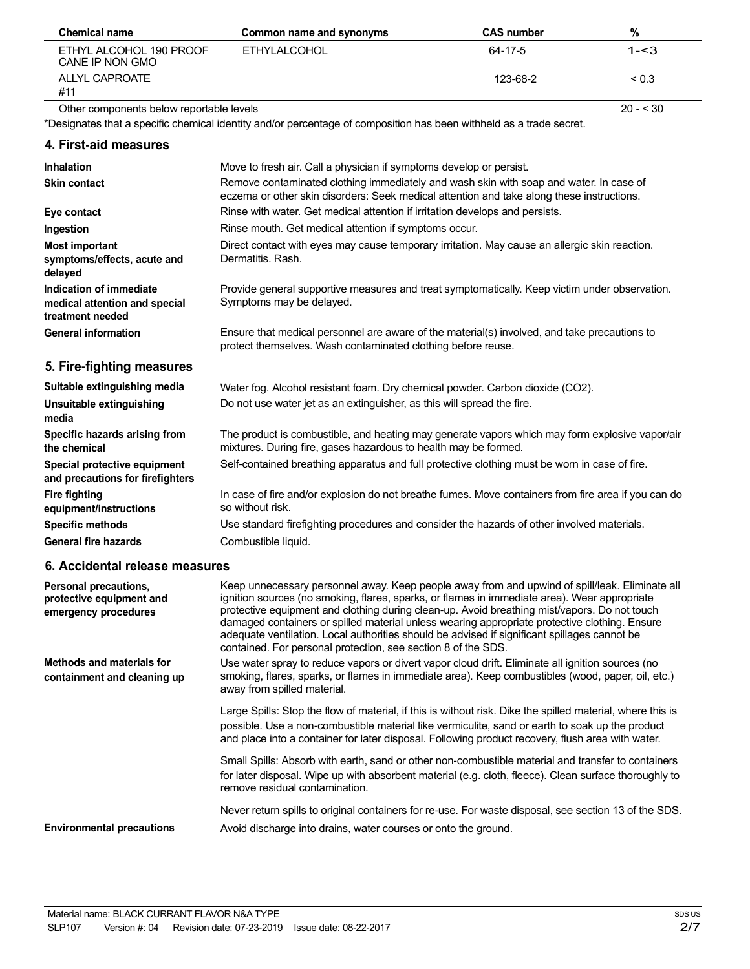| <b>Chemical name</b>                       | Common name and synonyms | <b>CAS number</b> | %        |
|--------------------------------------------|--------------------------|-------------------|----------|
| ETHYL ALCOHOL 190 PROOF<br>CANE IP NON GMO | ETHYLALCOHOL             | 64-17-5           | 1- $<$ 3 |
| ALLYL CAPROATE<br>#11                      |                          | 123-68-2          | < 0.3    |

Other components below reportable levels

\*Designates that a specific chemical identity and/or percentage of composition has been withheld as a trade secret.

**4. First-aid measures Inhalation Skin contact Eye contact Ingestion Most important symptoms/effects, acute and delayed Indication of immediate medical attention and special treatment needed General information 5. Fire-fighting measures Suitable extinguishing media Unsuitable extinguishing media Specific hazards arising from the chemical Special protective equipment and precautions for firefighters Fire fighting equipment/instructions Specific methods General fire hazards** Move to fresh air. Call a physician if symptoms develop or persist. Remove contaminated clothing immediately and wash skin with soap and water. In case of eczema or other skin disorders: Seek medical attention and take along these instructions. Rinse with water. Get medical attention if irritation develops and persists. Rinse mouth. Get medical attention if symptoms occur. Direct contact with eyes may cause temporary irritation. May cause an allergic skin reaction. Dermatitis. Rash. Provide general supportive measures and treat symptomatically. Keep victim under observation. Symptoms may be delayed. Ensure that medical personnel are aware of the material(s) involved, and take precautions to protect themselves. Wash contaminated clothing before reuse. Water fog. Alcohol resistant foam. Dry chemical powder. Carbon dioxide (CO2). Do not use water jet as an extinguisher, as this will spread the fire. The product is combustible, and heating may generate vapors which may form explosive vapor/air mixtures. During fire, gases hazardous to health may be formed. Self-contained breathing apparatus and full protective clothing must be worn in case of fire. In case of fire and/or explosion do not breathe fumes. Move containers from fire area if you can do so without risk. Use standard firefighting procedures and consider the hazards of other involved materials. Combustible liquid.

#### **6. Accidental release measures**

| Personal precautions,<br>protective equipment and<br>emergency procedures | Keep unnecessary personnel away. Keep people away from and upwind of spill/leak. Eliminate all<br>ignition sources (no smoking, flares, sparks, or flames in immediate area). Wear appropriate<br>protective equipment and clothing during clean-up. Avoid breathing mist/vapors. Do not touch<br>damaged containers or spilled material unless wearing appropriate protective clothing. Ensure<br>adequate ventilation. Local authorities should be advised if significant spillages cannot be<br>contained. For personal protection, see section 8 of the SDS. |
|---------------------------------------------------------------------------|------------------------------------------------------------------------------------------------------------------------------------------------------------------------------------------------------------------------------------------------------------------------------------------------------------------------------------------------------------------------------------------------------------------------------------------------------------------------------------------------------------------------------------------------------------------|
| <b>Methods and materials for</b><br>containment and cleaning up           | Use water spray to reduce vapors or divert vapor cloud drift. Eliminate all ignition sources (no<br>smoking, flares, sparks, or flames in immediate area). Keep combustibles (wood, paper, oil, etc.)<br>away from spilled material.                                                                                                                                                                                                                                                                                                                             |
|                                                                           | Large Spills: Stop the flow of material, if this is without risk. Dike the spilled material, where this is<br>possible. Use a non-combustible material like vermiculite, sand or earth to soak up the product<br>and place into a container for later disposal. Following product recovery, flush area with water.                                                                                                                                                                                                                                               |
|                                                                           | Small Spills: Absorb with earth, sand or other non-combustible material and transfer to containers<br>for later disposal. Wipe up with absorbent material (e.g. cloth, fleece). Clean surface thoroughly to<br>remove residual contamination.                                                                                                                                                                                                                                                                                                                    |
| <b>Environmental precautions</b>                                          | Never return spills to original containers for re-use. For waste disposal, see section 13 of the SDS.<br>Avoid discharge into drains, water courses or onto the ground.                                                                                                                                                                                                                                                                                                                                                                                          |

 $20 - 530$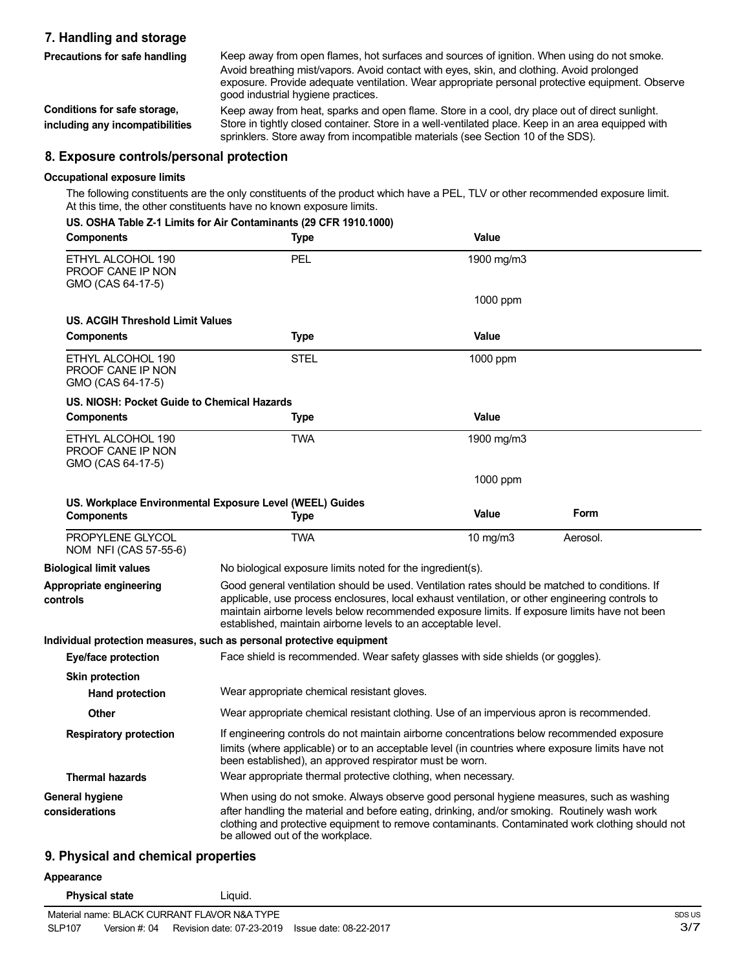#### **7. Handling and storage Precautions for safe handling**

Keep away from open flames, hot surfaces and sources of ignition. When using do not smoke. Avoid breathing mist/vapors. Avoid contact with eyes, skin, and clothing. Avoid prolonged exposure. Provide adequate ventilation. Wear appropriate personal protective equipment. Observe good industrial hygiene practices.

**Conditions for safe storage, including any incompatibilities** Keep away from heat, sparks and open flame. Store in a cool, dry place out of direct sunlight. Store in tightly closed container. Store in a well-ventilated place. Keep in an area equipped with sprinklers. Store away from incompatible materials (see Section 10 of the SDS).

#### **8. Exposure controls/personal protection**

#### **Occupational exposure limits**

The following constituents are the only constituents of the product which have a PEL, TLV or other recommended exposure limit. At this time, the other constituents have no known exposure limits.

|  |  |  | US. OSHA Table Z-1 Limits for Air Contaminants (29 CFR 1910.1000) |  |  |
|--|--|--|-------------------------------------------------------------------|--|--|
|  |  |  |                                                                   |  |  |

| <b>Components</b>                                                  | <b>Type</b>                                                                                                                                                                                                                                                                                                                                                        | Value        |          |
|--------------------------------------------------------------------|--------------------------------------------------------------------------------------------------------------------------------------------------------------------------------------------------------------------------------------------------------------------------------------------------------------------------------------------------------------------|--------------|----------|
| ETHYL ALCOHOL 190<br>PROOF CANE IP NON<br>GMO (CAS 64-17-5)        | PEL.                                                                                                                                                                                                                                                                                                                                                               | 1900 mg/m3   |          |
|                                                                    |                                                                                                                                                                                                                                                                                                                                                                    | 1000 ppm     |          |
| <b>US. ACGIH Threshold Limit Values</b>                            |                                                                                                                                                                                                                                                                                                                                                                    |              |          |
| <b>Components</b>                                                  | <b>Type</b>                                                                                                                                                                                                                                                                                                                                                        | <b>Value</b> |          |
| ETHYL ALCOHOL 190<br>PROOF CANE IP NON<br>GMO (CAS 64-17-5)        | STEL                                                                                                                                                                                                                                                                                                                                                               | 1000 ppm     |          |
| US. NIOSH: Pocket Guide to Chemical Hazards                        |                                                                                                                                                                                                                                                                                                                                                                    |              |          |
| <b>Components</b>                                                  | <b>Type</b>                                                                                                                                                                                                                                                                                                                                                        | Value        |          |
| ETHYL ALCOHOL 190<br><b>PROOF CANE IP NON</b><br>GMO (CAS 64-17-5) | <b>TWA</b>                                                                                                                                                                                                                                                                                                                                                         | 1900 mg/m3   |          |
|                                                                    |                                                                                                                                                                                                                                                                                                                                                                    | 1000 ppm     |          |
| <b>Components</b>                                                  | US. Workplace Environmental Exposure Level (WEEL) Guides<br><b>Type</b>                                                                                                                                                                                                                                                                                            | <b>Value</b> | Form     |
| PROPYLENE GLYCOL<br>NOM NFI (CAS 57-55-6)                          | <b>TWA</b>                                                                                                                                                                                                                                                                                                                                                         | 10 $mg/m3$   | Aerosol. |
| <b>Biological limit values</b>                                     | No biological exposure limits noted for the ingredient(s).                                                                                                                                                                                                                                                                                                         |              |          |
| Appropriate engineering<br>controls                                | Good general ventilation should be used. Ventilation rates should be matched to conditions. If<br>applicable, use process enclosures, local exhaust ventilation, or other engineering controls to<br>maintain airborne levels below recommended exposure limits. If exposure limits have not been<br>established, maintain airborne levels to an acceptable level. |              |          |
|                                                                    | Individual protection measures, such as personal protective equipment                                                                                                                                                                                                                                                                                              |              |          |
| <b>Eye/face protection</b>                                         | Face shield is recommended. Wear safety glasses with side shields (or goggles).                                                                                                                                                                                                                                                                                    |              |          |
| <b>Skin protection</b>                                             |                                                                                                                                                                                                                                                                                                                                                                    |              |          |
| <b>Hand protection</b>                                             | Wear appropriate chemical resistant gloves.                                                                                                                                                                                                                                                                                                                        |              |          |
| Other                                                              | Wear appropriate chemical resistant clothing. Use of an impervious apron is recommended.                                                                                                                                                                                                                                                                           |              |          |
| <b>Respiratory protection</b>                                      | If engineering controls do not maintain airborne concentrations below recommended exposure<br>limits (where applicable) or to an acceptable level (in countries where exposure limits have not<br>been established), an approved respirator must be worn.                                                                                                          |              |          |
| <b>Thermal hazards</b>                                             | Wear appropriate thermal protective clothing, when necessary.                                                                                                                                                                                                                                                                                                      |              |          |
| General hygiene<br>considerations                                  | When using do not smoke. Always observe good personal hygiene measures, such as washing<br>after handling the material and before eating, drinking, and/or smoking. Routinely wash work<br>clothing and protective equipment to remove contaminants. Contaminated work clothing should not<br>be allowed out of the workplace.                                     |              |          |
| 9. Physical and chemical properties                                |                                                                                                                                                                                                                                                                                                                                                                    |              |          |

#### **Appearance**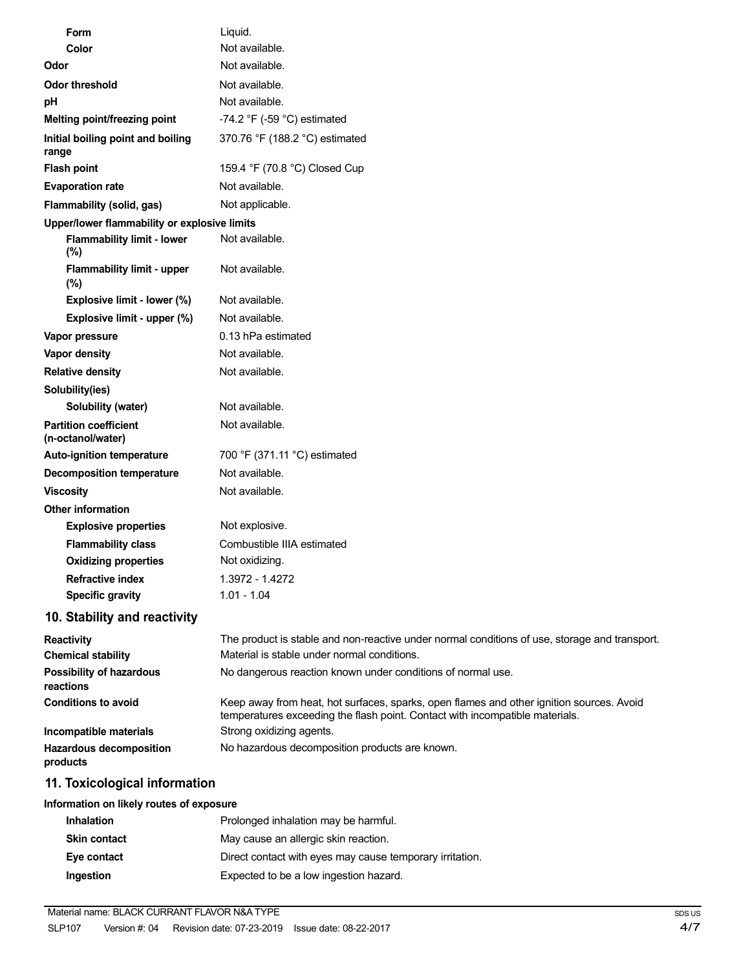| Form                                              | Liquid.                                                                                                                                                                  |
|---------------------------------------------------|--------------------------------------------------------------------------------------------------------------------------------------------------------------------------|
| Color                                             | Not available.                                                                                                                                                           |
| Odor                                              | Not available.                                                                                                                                                           |
| <b>Odor threshold</b>                             | Not available.                                                                                                                                                           |
| pH                                                | Not available.                                                                                                                                                           |
| Melting point/freezing point                      | -74.2 $\degree$ F (-59 $\degree$ C) estimated                                                                                                                            |
| Initial boiling point and boiling<br>range        | 370.76 °F (188.2 °C) estimated                                                                                                                                           |
| <b>Flash point</b>                                | 159.4 °F (70.8 °C) Closed Cup                                                                                                                                            |
| <b>Evaporation rate</b>                           | Not available.                                                                                                                                                           |
| Flammability (solid, gas)                         | Not applicable.                                                                                                                                                          |
| Upper/lower flammability or explosive limits      |                                                                                                                                                                          |
| <b>Flammability limit - lower</b><br>(%)          | Not available.                                                                                                                                                           |
| <b>Flammability limit - upper</b><br>(%)          | Not available.                                                                                                                                                           |
| Explosive limit - lower (%)                       | Not available.                                                                                                                                                           |
| Explosive limit - upper (%)                       | Not available.                                                                                                                                                           |
| Vapor pressure                                    | 0.13 hPa estimated                                                                                                                                                       |
| Vapor density                                     | Not available.                                                                                                                                                           |
| <b>Relative density</b>                           | Not available.                                                                                                                                                           |
| Solubility(ies)                                   |                                                                                                                                                                          |
| Solubility (water)                                | Not available.                                                                                                                                                           |
| <b>Partition coefficient</b><br>(n-octanol/water) | Not available.                                                                                                                                                           |
| Auto-ignition temperature                         | 700 °F (371.11 °C) estimated                                                                                                                                             |
| <b>Decomposition temperature</b>                  | Not available.                                                                                                                                                           |
| <b>Viscosity</b>                                  | Not available.                                                                                                                                                           |
| <b>Other information</b>                          |                                                                                                                                                                          |
| <b>Explosive properties</b>                       | Not explosive.                                                                                                                                                           |
| <b>Flammability class</b>                         | Combustible IIIA estimated                                                                                                                                               |
| <b>Oxidizing properties</b>                       | Not oxidizing.                                                                                                                                                           |
| <b>Refractive index</b>                           | 1.3972 - 1.4272                                                                                                                                                          |
| <b>Specific gravity</b>                           | $1.01 - 1.04$                                                                                                                                                            |
| 10. Stability and reactivity                      |                                                                                                                                                                          |
| <b>Reactivity</b>                                 | The product is stable and non-reactive under normal conditions of use, storage and transport.                                                                            |
| <b>Chemical stability</b>                         | Material is stable under normal conditions.                                                                                                                              |
| Possibility of hazardous<br>reactions             | No dangerous reaction known under conditions of normal use.                                                                                                              |
| <b>Conditions to avoid</b>                        | Keep away from heat, hot surfaces, sparks, open flames and other ignition sources. Avoid<br>temperatures exceeding the flash point. Contact with incompatible materials. |
| Incompatible materials                            | Strong oxidizing agents.                                                                                                                                                 |
| Hazardous decomposition<br>products               | No hazardous decomposition products are known.                                                                                                                           |
| 11. Toxicological information                     |                                                                                                                                                                          |
| Information on likely routes of exposure          |                                                                                                                                                                          |
|                                                   |                                                                                                                                                                          |

## **Inhalation Inhalation** Prolonged inhalation may be harmful. **Skin contact** May cause an allergic skin reaction. **Eye contact** Direct contact with eyes may cause temporary irritation. **Ingestion** Expected to be a low ingestion hazard.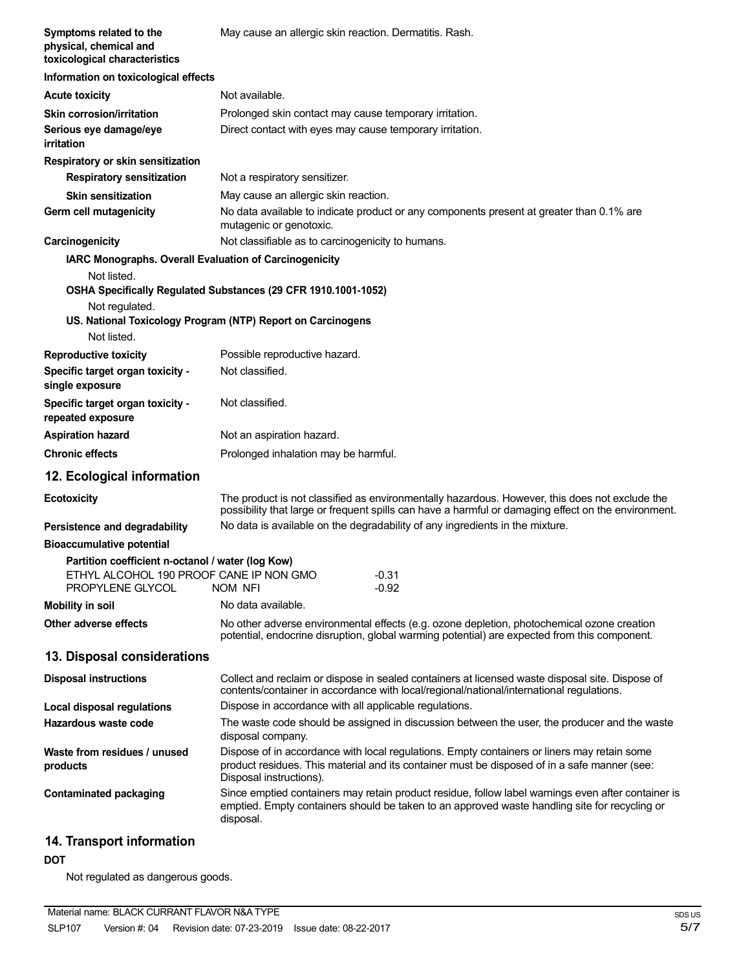| Symptoms related to the<br>physical, chemical and<br>toxicological characteristics                                                                   | May cause an allergic skin reaction. Dermatitis. Rash.                                                                                                                                                                 |
|------------------------------------------------------------------------------------------------------------------------------------------------------|------------------------------------------------------------------------------------------------------------------------------------------------------------------------------------------------------------------------|
| Information on toxicological effects                                                                                                                 |                                                                                                                                                                                                                        |
| <b>Acute toxicity</b>                                                                                                                                | Not available.                                                                                                                                                                                                         |
| <b>Skin corrosion/irritation</b><br>Serious eye damage/eye<br>irritation                                                                             | Prolonged skin contact may cause temporary irritation.<br>Direct contact with eyes may cause temporary irritation.                                                                                                     |
| Respiratory or skin sensitization                                                                                                                    |                                                                                                                                                                                                                        |
| <b>Respiratory sensitization</b>                                                                                                                     | Not a respiratory sensitizer.                                                                                                                                                                                          |
| <b>Skin sensitization</b><br>Germ cell mutagenicity                                                                                                  | May cause an allergic skin reaction.<br>No data available to indicate product or any components present at greater than 0.1% are<br>mutagenic or genotoxic.                                                            |
| Carcinogenicity                                                                                                                                      | Not classifiable as to carcinogenicity to humans.                                                                                                                                                                      |
| IARC Monographs. Overall Evaluation of Carcinogenicity                                                                                               |                                                                                                                                                                                                                        |
| Not listed.<br>Not regulated.<br>Not listed.                                                                                                         | OSHA Specifically Regulated Substances (29 CFR 1910.1001-1052)<br>US. National Toxicology Program (NTP) Report on Carcinogens                                                                                          |
| <b>Reproductive toxicity</b>                                                                                                                         | Possible reproductive hazard.                                                                                                                                                                                          |
| Specific target organ toxicity -<br>single exposure                                                                                                  | Not classified.                                                                                                                                                                                                        |
| Specific target organ toxicity -<br>repeated exposure                                                                                                | Not classified.                                                                                                                                                                                                        |
| <b>Aspiration hazard</b>                                                                                                                             | Not an aspiration hazard.                                                                                                                                                                                              |
| <b>Chronic effects</b>                                                                                                                               | Prolonged inhalation may be harmful.                                                                                                                                                                                   |
| 12. Ecological information                                                                                                                           |                                                                                                                                                                                                                        |
| <b>Ecotoxicity</b>                                                                                                                                   | The product is not classified as environmentally hazardous. However, this does not exclude the<br>possibility that large or frequent spills can have a harmful or damaging effect on the environment.                  |
| Persistence and degradability                                                                                                                        | No data is available on the degradability of any ingredients in the mixture.                                                                                                                                           |
| <b>Bioaccumulative potential</b><br>Partition coefficient n-octanol / water (log Kow)<br>ETHYL ALCOHOL 190 PROOF CANE IP NON GMO<br>PROPYLENE GLYCOL | $-0.31$<br><b>NOM NFI</b><br>$-0.92$                                                                                                                                                                                   |
| <b>Mobility in soil</b>                                                                                                                              | No data available.                                                                                                                                                                                                     |
| Other adverse effects                                                                                                                                | No other adverse environmental effects (e.g. ozone depletion, photochemical ozone creation<br>potential, endocrine disruption, global warming potential) are expected from this component.                             |
| 13. Disposal considerations                                                                                                                          |                                                                                                                                                                                                                        |
| <b>Disposal instructions</b>                                                                                                                         | Collect and reclaim or dispose in sealed containers at licensed waste disposal site. Dispose of<br>contents/container in accordance with local/regional/national/international regulations.                            |
| Local disposal regulations                                                                                                                           | Dispose in accordance with all applicable regulations.                                                                                                                                                                 |
| Hazardous waste code                                                                                                                                 | The waste code should be assigned in discussion between the user, the producer and the waste<br>disposal company.                                                                                                      |
| Waste from residues / unused<br>products                                                                                                             | Dispose of in accordance with local regulations. Empty containers or liners may retain some<br>product residues. This material and its container must be disposed of in a safe manner (see:<br>Disposal instructions). |
| <b>Contaminated packaging</b>                                                                                                                        | Since emptied containers may retain product residue, follow label warnings even after container is<br>emptied. Empty containers should be taken to an approved waste handling site for recycling or<br>disposal.       |
| 11 Transport information                                                                                                                             |                                                                                                                                                                                                                        |

#### **14. Transport information**

#### **DOT**

Not regulated as dangerous goods.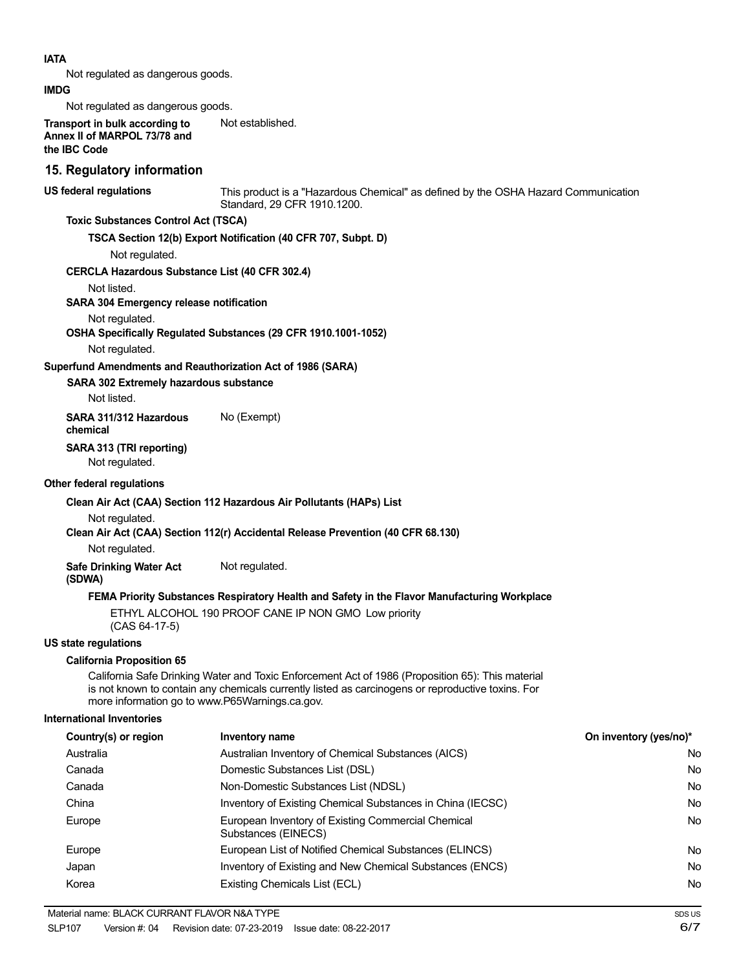| <b>IATA</b>                                                                                                  |                                                                                                                                                                                                       |                        |
|--------------------------------------------------------------------------------------------------------------|-------------------------------------------------------------------------------------------------------------------------------------------------------------------------------------------------------|------------------------|
| Not regulated as dangerous goods.                                                                            |                                                                                                                                                                                                       |                        |
| <b>IMDG</b>                                                                                                  |                                                                                                                                                                                                       |                        |
| Not regulated as dangerous goods.                                                                            |                                                                                                                                                                                                       |                        |
| Transport in bulk according to<br>Annex II of MARPOL 73/78 and<br>the IBC Code                               | Not established.                                                                                                                                                                                      |                        |
| 15. Regulatory information                                                                                   |                                                                                                                                                                                                       |                        |
| US federal regulations                                                                                       | This product is a "Hazardous Chemical" as defined by the OSHA Hazard Communication<br>Standard, 29 CFR 1910.1200.                                                                                     |                        |
| <b>Toxic Substances Control Act (TSCA)</b>                                                                   |                                                                                                                                                                                                       |                        |
|                                                                                                              | TSCA Section 12(b) Export Notification (40 CFR 707, Subpt. D)                                                                                                                                         |                        |
| Not regulated.                                                                                               |                                                                                                                                                                                                       |                        |
| <b>CERCLA Hazardous Substance List (40 CFR 302.4)</b>                                                        |                                                                                                                                                                                                       |                        |
| Not listed.                                                                                                  |                                                                                                                                                                                                       |                        |
| SARA 304 Emergency release notification                                                                      |                                                                                                                                                                                                       |                        |
| Not regulated.                                                                                               |                                                                                                                                                                                                       |                        |
| Not regulated.                                                                                               | OSHA Specifically Regulated Substances (29 CFR 1910.1001-1052)                                                                                                                                        |                        |
|                                                                                                              |                                                                                                                                                                                                       |                        |
| Superfund Amendments and Reauthorization Act of 1986 (SARA)<br><b>SARA 302 Extremely hazardous substance</b> |                                                                                                                                                                                                       |                        |
| Not listed.                                                                                                  |                                                                                                                                                                                                       |                        |
| SARA 311/312 Hazardous                                                                                       | No (Exempt)                                                                                                                                                                                           |                        |
| chemical                                                                                                     |                                                                                                                                                                                                       |                        |
| SARA 313 (TRI reporting)<br>Not regulated.                                                                   |                                                                                                                                                                                                       |                        |
| Other federal regulations                                                                                    |                                                                                                                                                                                                       |                        |
|                                                                                                              | Clean Air Act (CAA) Section 112 Hazardous Air Pollutants (HAPs) List                                                                                                                                  |                        |
| Not regulated.                                                                                               |                                                                                                                                                                                                       |                        |
|                                                                                                              | Clean Air Act (CAA) Section 112(r) Accidental Release Prevention (40 CFR 68.130)                                                                                                                      |                        |
| Not regulated.                                                                                               |                                                                                                                                                                                                       |                        |
| <b>Safe Drinking Water Act</b><br>(SDWA)                                                                     | Not regulated.                                                                                                                                                                                        |                        |
|                                                                                                              | FEMA Priority Substances Respiratory Health and Safety in the Flavor Manufacturing Workplace                                                                                                          |                        |
| $(CAS 64-17-5)$                                                                                              | ETHYL ALCOHOL 190 PROOF CANE IP NON GMO Low priority                                                                                                                                                  |                        |
| <b>US state regulations</b>                                                                                  |                                                                                                                                                                                                       |                        |
| <b>California Proposition 65</b>                                                                             |                                                                                                                                                                                                       |                        |
| more information go to www.P65Warnings.ca.gov.                                                               | California Safe Drinking Water and Toxic Enforcement Act of 1986 (Proposition 65): This material<br>is not known to contain any chemicals currently listed as carcinogens or reproductive toxins. For |                        |
| <b>International Inventories</b>                                                                             |                                                                                                                                                                                                       |                        |
| Country(s) or region                                                                                         | Inventory name                                                                                                                                                                                        | On inventory (yes/no)* |
| Australia                                                                                                    | Australian Inventory of Chemical Substances (AICS)                                                                                                                                                    |                        |
| Canada                                                                                                       | Domestic Substances List (DSL)                                                                                                                                                                        |                        |
| Canada                                                                                                       | Non-Domestic Substances List (NDSL)                                                                                                                                                                   |                        |
| China                                                                                                        | Inventory of Existing Chemical Substances in China (IECSC)                                                                                                                                            |                        |
| Europe                                                                                                       | European Inventory of Existing Commercial Chemical<br>Substances (EINECS)                                                                                                                             |                        |
| Europe                                                                                                       | European List of Notified Chemical Substances (ELINCS)                                                                                                                                                |                        |

Korea **Existing Chemicals List (ECL)** 

Japan Inventory of Existing and New Chemical Substances (ENCS)

No No No No No

No No No